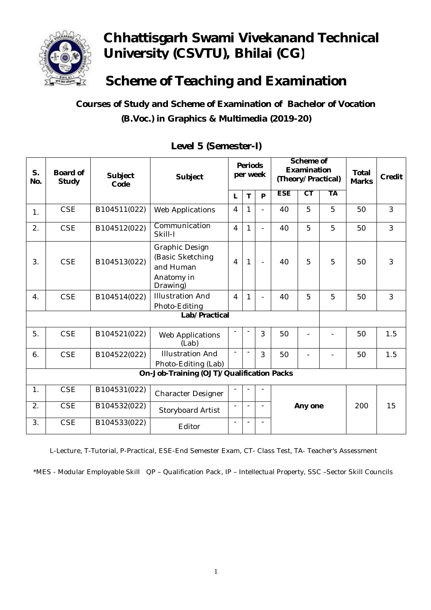

# **Chhattisgarh Swami Vivekanand Technical University (CSVTU), Bhilai (CG)**

**Scheme of Teaching and Examination**

 **Courses of Study and Scheme of Examination of Bachelor of Vocation (B.Voc.) in Graphics & Multimedia (2019-20)**

| S.<br>No.                                 | <b>Board of</b><br><b>Study</b> | <b>Subject</b><br>Code | Subject                                                                   | <b>Periods</b><br>per week |              |                          |                      | Scheme of<br><b>Examination</b><br>(Theory/Practical) |           | <b>Total</b><br><b>Marks</b> | <b>Credit</b>  |
|-------------------------------------------|---------------------------------|------------------------|---------------------------------------------------------------------------|----------------------------|--------------|--------------------------|----------------------|-------------------------------------------------------|-----------|------------------------------|----------------|
|                                           |                                 |                        |                                                                           | L                          | T            | P                        | <b>ESE</b>           | $\overline{\text{CT}}$                                | <b>TA</b> |                              |                |
| $\mathbf{1}$ .                            | <b>CSE</b>                      | B104511(022)           | <b>Web Applications</b>                                                   | $\overline{4}$             | 1            | ÷,                       | 40                   | 5                                                     | 5         | 50                           | 3              |
| 2.                                        | <b>CSE</b>                      | B104512(022)           | Communication<br>Skill-I                                                  | $\overline{4}$             | $\mathbf{1}$ | ä,                       | 40                   | 5                                                     | 5         | 50                           | 3              |
| 3.                                        | <b>CSE</b>                      | B104513(022)           | Graphic Design<br>(Basic Sketching<br>and Human<br>Anatomy in<br>Drawing) | 4                          | 1            | $\overline{a}$           | 40                   | 5                                                     | 5         | 50                           | 3              |
| 4.                                        | <b>CSE</b>                      | B104514(022)           | <b>Illustration And</b><br>Photo-Editing                                  | $\overline{4}$             | 1            | $\blacksquare$           | 40                   | 5                                                     | 5         | 50                           | $\overline{3}$ |
| Lab/Practical                             |                                 |                        |                                                                           |                            |              |                          |                      |                                                       |           |                              |                |
| 5.                                        | <b>CSE</b>                      | B104521(022)           | Web Applications<br>(Lab)                                                 |                            |              | 3                        | 50                   |                                                       |           | 50                           | 1.5            |
| 6.                                        | <b>CSE</b>                      | B104522(022)           | <b>Illustration And</b><br>Photo-Editing (Lab)                            |                            |              | 3                        | 50                   |                                                       |           | 50                           | 1.5            |
| On-Job-Training (OJT)/Qualification Packs |                                 |                        |                                                                           |                            |              |                          |                      |                                                       |           |                              |                |
| 1.                                        | <b>CSE</b>                      | B104531(022)           | <b>Character Designer</b>                                                 |                            |              |                          |                      |                                                       |           |                              |                |
| 2.                                        | <b>CSE</b>                      | B104532(022)           | Storyboard Artist                                                         | $\blacksquare$             |              | -                        | 200<br>15<br>Any one |                                                       |           |                              |                |
| 3.                                        | <b>CSE</b>                      | B104533(022)           | Editor                                                                    |                            |              | $\overline{\phantom{a}}$ |                      |                                                       |           |                              |                |

#### **Level 5 (Semester-I)**

L-Lecture, T-Tutorial, P-Practical, ESE-End Semester Exam, CT- Class Test, TA- Teacher's Assessment

\*MES - Modular Employable Skill QP – Qualification Pack, IP – Intellectual Property, SSC –Sector Skill Councils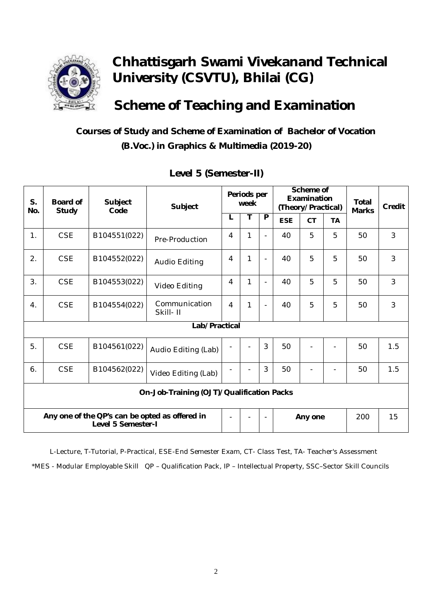

# **Chhattisgarh Swami Vivekanand Technical University (CSVTU), Bhilai (CG)**

### **Scheme of Teaching and Examination**

#### **Courses of Study and Scheme of Examination of Bachelor of Vocation (B.Voc.) in Graphics & Multimedia (2019-20)**

| S.<br>No.                                                            | <b>Board of</b> | <b>Subject</b><br>Subject<br>Code<br><b>Study</b> |                           |                | Periods per<br>week |                | Scheme of<br>Examination<br>(Theory/Practical) |           |           | <b>Total</b><br><b>Marks</b> | <b>Credit</b>  |
|----------------------------------------------------------------------|-----------------|---------------------------------------------------|---------------------------|----------------|---------------------|----------------|------------------------------------------------|-----------|-----------|------------------------------|----------------|
|                                                                      |                 |                                                   |                           | L              | т                   | $\overline{P}$ | <b>ESE</b>                                     | <b>CT</b> | <b>TA</b> |                              |                |
| 1.                                                                   | <b>CSE</b>      | B104551(022)                                      | Pre-Production            | 4              | 1                   | ÷              | 40                                             | 5         | 5         | 50                           | 3              |
| 2.                                                                   | <b>CSE</b>      | B104552(022)                                      | <b>Audio Editing</b>      | 4              | $\mathbf{1}$        | $\blacksquare$ | 40                                             | 5         | 5         | 50                           | 3              |
| 3.                                                                   | <b>CSE</b>      | B104553(022)                                      | Video Editing             | $\overline{4}$ | $\mathbf{1}$        | ÷              | 40                                             | 5         | 5         | 50                           | $\overline{3}$ |
| 4.                                                                   | <b>CSE</b>      | B104554(022)                                      | Communication<br>Skill-II | $\overline{4}$ | $\mathbf{1}$        | $\blacksquare$ | 40                                             | 5         | 5         | 50                           | 3              |
|                                                                      | Lab/Practical   |                                                   |                           |                |                     |                |                                                |           |           |                              |                |
| 5.                                                                   | <b>CSE</b>      | B104561(022)                                      | Audio Editing (Lab)       |                |                     | 3              | 50                                             |           |           | 50                           | 1.5            |
| 6.                                                                   | <b>CSE</b>      | B104562(022)                                      | Video Editing (Lab)       |                |                     | 3              | 50                                             |           |           | 50                           | 1.5            |
| On-Job-Training (OJT)/Qualification Packs                            |                 |                                                   |                           |                |                     |                |                                                |           |           |                              |                |
| Any one of the QP's can be opted as offered in<br>Level 5 Semester-I |                 |                                                   |                           | $\blacksquare$ |                     |                |                                                | Any one   |           | 200                          | 15             |

#### **Level 5 (Semester-II)**

L-Lecture, T-Tutorial, P-Practical, ESE-End Semester Exam, CT- Class Test, TA- Teacher's Assessment \*MES - Modular Employable Skill QP – Qualification Pack, IP – Intellectual Property, SSC–Sector Skill Councils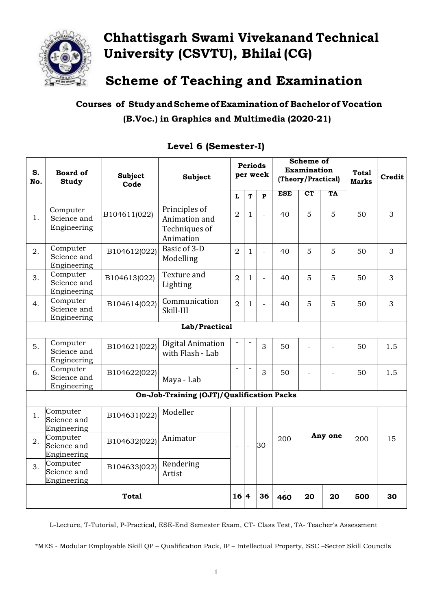

## **Chhattisgarh Swami Vivekanand Technical University (CSVTU), Bhilai (CG)**

**Scheme of Teaching and Examination**

**Courses of StudyandSchemeofExaminationof Bachelorof Vocation (B.Voc.) in Graphics and Multimedia (2020-21)**

| S.<br>No.    | <b>Board of</b><br><b>Study</b>        | <b>Subject</b><br>Code | <b>Subject</b>                                               | <b>Periods</b><br>per week |                | <b>Scheme of</b><br>Examination<br>(Theory/Practical) |            |                                   | <b>Total</b><br><b>Marks</b> | <b>Credit</b> |     |
|--------------|----------------------------------------|------------------------|--------------------------------------------------------------|----------------------------|----------------|-------------------------------------------------------|------------|-----------------------------------|------------------------------|---------------|-----|
|              |                                        |                        |                                                              | L                          | T              | $\mathbf{P}$                                          | <b>ESE</b> | $\overline{\mathbf{C}\mathbf{T}}$ | TA                           |               |     |
| 1.           | Computer<br>Science and<br>Engineering | B104611(022)           | Principles of<br>Animation and<br>Techniques of<br>Animation | $\overline{2}$             | $\mathbf{1}$   | $\bar{\phantom{a}}$                                   | 40         | 5                                 | 5                            | 50            | 3   |
| 2.           | Computer<br>Science and<br>Engineering | B104612(022)           | Basic of 3-D<br>Modelling                                    | $\overline{2}$             | $\mathbf{1}$   | $\equiv$                                              | 40         | 5                                 | 5                            | 50            | 3   |
| 3.           | Computer<br>Science and<br>Engineering | B104613(022)           | Texture and<br>Lighting                                      | $\overline{2}$             | $\mathbf{1}$   | $\overline{\phantom{a}}$                              | 40         | 5                                 | 5                            | 50            | 3   |
| 4.           | Computer<br>Science and<br>Engineering | B104614(022)           | Communication<br>Skill-III                                   | $\overline{2}$             | $\mathbf{1}$   | $\overline{\phantom{a}}$                              | 40         | 5                                 | 5                            | 50            | 3   |
|              | Lab/Practical                          |                        |                                                              |                            |                |                                                       |            |                                   |                              |               |     |
| 5.           | Computer<br>Science and<br>Engineering | B104621(022)           | Digital Animation<br>with Flash - Lab                        |                            |                | 3                                                     | 50         | $\overline{\phantom{0}}$          | ۰                            | 50            | 1.5 |
| 6.           | Computer<br>Science and<br>Engineering | B104622(022)           | Maya - Lab                                                   | $\overline{a}$             | $\overline{a}$ | 3                                                     | 50         |                                   |                              | 50            | 1.5 |
|              |                                        |                        | On-Job-Training (OJT)/Qualification Packs                    |                            |                |                                                       |            |                                   |                              |               |     |
| 1.           | Computer<br>Science and<br>Engineering | B104631(022)           | Modeller                                                     |                            |                |                                                       |            |                                   |                              |               |     |
| 2.           | Computer<br>Science and<br>Engineering | B104632(022)           | Animator                                                     | $\overline{\phantom{a}}$   | $\frac{1}{2}$  | 30                                                    | 200        |                                   | Any one                      | 200           | 15  |
| 3.           | Computer<br>Science and<br>Engineering | B104633(022)           | Rendering<br>Artist                                          |                            |                |                                                       |            |                                   |                              |               |     |
| <b>Total</b> |                                        |                        |                                                              | 16 4                       |                | 36                                                    | 460        | 20                                | 20                           | 500           | 30  |

#### **Level 6 (Semester-I)**

L-Lecture, T-Tutorial, P-Practical, ESE-End Semester Exam, CT- Class Test, TA- Teacher's Assessment

\*MES - Modular Employable Skill QP – Qualification Pack, IP – Intellectual Property, SSC –Sector Skill Councils